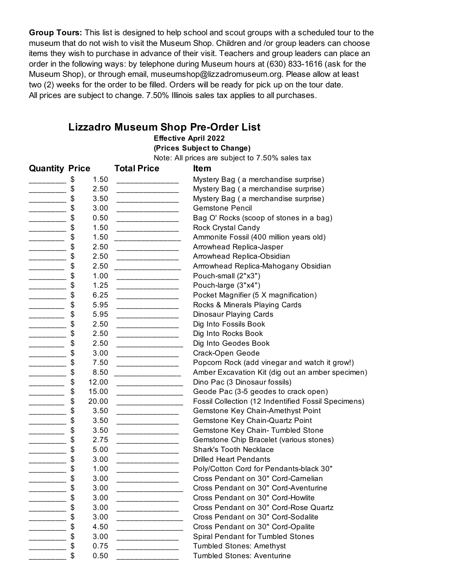**Group Tours:** This list is designed to help school and scout groups with a scheduled tour to the museum that do not wish to visit the Museum Shop. Children and /or group leaders can choose items they wish to purchase in advance of their visit. Teachers and group leaders can place an order in the following ways: by telephone during Museum hours at (630) 833-1616 (ask for the Museum Shop), or through email, museumshop@lizzadromuseum.org. Please allow at least two (2) weeks for the order to be filled. Orders will be ready for pick up on the tour date. All prices are subject to change. 7.50% Illinois sales tax applies to all purchases.

## **Lizzadro Museum Shop Pre-Order List**

## **Effective April 2022**

**(Prices Subject to Change)**

Note: All prices are subject to 7.50% sales tax

| <b>Quantity Price</b>                                                                                                                                                                                                                                                                                                                                                                                                                           |             | <b>Total Price</b>                      | <b>Item</b>                                         |
|-------------------------------------------------------------------------------------------------------------------------------------------------------------------------------------------------------------------------------------------------------------------------------------------------------------------------------------------------------------------------------------------------------------------------------------------------|-------------|-----------------------------------------|-----------------------------------------------------|
|                                                                                                                                                                                                                                                                                                                                                                                                                                                 | 1.50<br>\$  |                                         | Mystery Bag (a merchandise surprise)                |
| _____                                                                                                                                                                                                                                                                                                                                                                                                                                           | \$<br>2.50  | ______________                          | Mystery Bag (a merchandise surprise)                |
| ____________                                                                                                                                                                                                                                                                                                                                                                                                                                    | 3.50<br>\$  | _____________________                   | Mystery Bag (a merchandise surprise)                |
| _________                                                                                                                                                                                                                                                                                                                                                                                                                                       | \$<br>3.00  | _______________                         | <b>Gemstone Pencil</b>                              |
| $\overline{\phantom{a}}$                                                                                                                                                                                                                                                                                                                                                                                                                        | \$<br>0.50  | ___________________                     | Bag O' Rocks (scoop of stones in a bag)             |
| $\overline{\phantom{a}}$                                                                                                                                                                                                                                                                                                                                                                                                                        | \$<br>1.50  |                                         | Rock Crystal Candy                                  |
|                                                                                                                                                                                                                                                                                                                                                                                                                                                 | \$<br>1.50  |                                         | Ammonite Fossil (400 million years old)             |
| ________                                                                                                                                                                                                                                                                                                                                                                                                                                        | 2.50<br>\$  | ________________                        | Arrowhead Replica-Jasper                            |
| _______                                                                                                                                                                                                                                                                                                                                                                                                                                         | 2.50<br>\$  | ______________________                  | Arrowhead Replica-Obsidian                          |
|                                                                                                                                                                                                                                                                                                                                                                                                                                                 | \$<br>2.50  |                                         | Arrrowhead Replica-Mahogany Obsidian                |
| $\overline{\phantom{a}}$                                                                                                                                                                                                                                                                                                                                                                                                                        | \$<br>1.00  | <u> 1989 - Johann Barbara, martxa</u>   | Pouch-small (2"x3")                                 |
|                                                                                                                                                                                                                                                                                                                                                                                                                                                 | 1.25<br>\$  |                                         | Pouch-large (3"x4")                                 |
|                                                                                                                                                                                                                                                                                                                                                                                                                                                 | \$<br>6.25  | _______________                         | Pocket Magnifier (5 X magnification)                |
| ______                                                                                                                                                                                                                                                                                                                                                                                                                                          | 5.95<br>\$  | ________________                        | Rocks & Minerals Playing Cards                      |
| ______                                                                                                                                                                                                                                                                                                                                                                                                                                          | 5.95<br>\$  | ______________                          | Dinosaur Playing Cards                              |
|                                                                                                                                                                                                                                                                                                                                                                                                                                                 | \$<br>2.50  | ________________                        | Dig Into Fossils Book                               |
| $\overline{\phantom{a}}$                                                                                                                                                                                                                                                                                                                                                                                                                        | \$<br>2.50  |                                         | Dig Into Rocks Book                                 |
|                                                                                                                                                                                                                                                                                                                                                                                                                                                 | 2.50<br>\$  |                                         | Dig Into Geodes Book                                |
|                                                                                                                                                                                                                                                                                                                                                                                                                                                 | \$<br>3.00  | ________________                        | Crack-Open Geode                                    |
| _______                                                                                                                                                                                                                                                                                                                                                                                                                                         | \$<br>7.50  | ________________                        | Popcorn Rock (add vinegar and watch it grow!)       |
| _______                                                                                                                                                                                                                                                                                                                                                                                                                                         | 8.50<br>\$  |                                         | Amber Excavation Kit (dig out an amber specimen)    |
|                                                                                                                                                                                                                                                                                                                                                                                                                                                 | \$<br>12.00 | ________________________                | Dino Pac (3 Dinosaur fossils)                       |
|                                                                                                                                                                                                                                                                                                                                                                                                                                                 | \$<br>15.00 | <u> 1989 - Johann Barbara, martxa</u>   | Geode Pac (3-5 geodes to crack open)                |
|                                                                                                                                                                                                                                                                                                                                                                                                                                                 | \$<br>20.00 | ________________                        | Fossil Collection (12 Indentified Fossil Specimens) |
|                                                                                                                                                                                                                                                                                                                                                                                                                                                 | \$<br>3.50  | ________________                        | Gemstone Key Chain-Amethyst Point                   |
| ___________                                                                                                                                                                                                                                                                                                                                                                                                                                     | \$<br>3.50  | ________________                        | Gemstone Key Chain-Quartz Point                     |
| ________                                                                                                                                                                                                                                                                                                                                                                                                                                        | \$<br>3.50  |                                         | Gemstone Key Chain- Tumbled Stone                   |
|                                                                                                                                                                                                                                                                                                                                                                                                                                                 | \$<br>2.75  | _______________                         | Gemstone Chip Bracelet (various stones)             |
| $\overline{\phantom{a}}$                                                                                                                                                                                                                                                                                                                                                                                                                        | \$<br>5.00  | _____________________                   | <b>Shark's Tooth Necklace</b>                       |
|                                                                                                                                                                                                                                                                                                                                                                                                                                                 | \$<br>3.00  | ______________                          | <b>Drilled Heart Pendants</b>                       |
|                                                                                                                                                                                                                                                                                                                                                                                                                                                 | \$<br>1.00  | _______________                         | Poly/Cotton Cord for Pendants-black 30"             |
| _________                                                                                                                                                                                                                                                                                                                                                                                                                                       | \$<br>3.00  |                                         | Cross Pendant on 30" Cord-Carnelian                 |
|                                                                                                                                                                                                                                                                                                                                                                                                                                                 | \$<br>3.00  |                                         | Cross Pendant on 30" Cord-Aventurine                |
|                                                                                                                                                                                                                                                                                                                                                                                                                                                 | \$<br>3.00  |                                         | Cross Pendant on 30" Cord-Howlite                   |
|                                                                                                                                                                                                                                                                                                                                                                                                                                                 | 3.00<br>\$  |                                         | Cross Pendant on 30" Cord-Rose Quartz               |
| <u> 1999 - Jan Barnett, p</u>                                                                                                                                                                                                                                                                                                                                                                                                                   | 3.00<br>\$  | _______________                         | Cross Pendant on 30" Cord-Sodalite                  |
| ________                                                                                                                                                                                                                                                                                                                                                                                                                                        | \$<br>4.50  | ________________                        | Cross Pendant on 30" Cord-Opalite                   |
| $\label{eq:2.1} \frac{1}{\sqrt{2}}\left(\frac{1}{\sqrt{2}}\right)^{2}=\frac{1}{2}\left(\frac{1}{\sqrt{2}}\right)^{2}=\frac{1}{2}\left(\frac{1}{\sqrt{2}}\right)^{2}=\frac{1}{2}\left(\frac{1}{\sqrt{2}}\right)^{2}=\frac{1}{2}\left(\frac{1}{\sqrt{2}}\right)^{2}=\frac{1}{2}\left(\frac{1}{\sqrt{2}}\right)^{2}=\frac{1}{2}\left(\frac{1}{\sqrt{2}}\right)^{2}=\frac{1}{2}\left(\frac{1}{\sqrt{2}}\right)^{2}=\frac{1}{2}\left(\frac{1}{\sqrt$ | 3.00<br>\$  | <u> 1990 - Johann Barn, mars eta ba</u> | Spiral Pendant for Tumbled Stones                   |
|                                                                                                                                                                                                                                                                                                                                                                                                                                                 | \$<br>0.75  | __________________                      | <b>Tumbled Stones: Amethyst</b>                     |
|                                                                                                                                                                                                                                                                                                                                                                                                                                                 | \$<br>0.50  |                                         | Tumbled Stones: Aventurine                          |